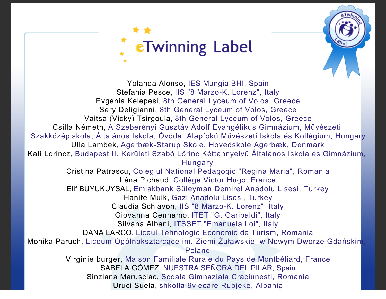

Yolanda Alonso, IES Mungia BHI, Spain Stefania Pesce, IIS "8 Marzo-K. Lorenz", Italy Evgenia Kelepesi, 8th General Lyceum of Volos, Greece Sery Deligianni, 8th General Lyceum of Volos, Greece Vaitsa (Vicky) Tsirgoula, 8th General Lyceum of Volos, Greece Csilla Németh, A Szeberényi Gusztáv Adolf Evangélikus Gimnázium, Művészeti Szakközépiskola, Általános Iskola, Óvoda, Alapfokú Művészeti Iskola és Kollégium, Hungary Ulla Lambek, Agerbæk-Starup Skole, Hovedskole Agerbæk, Denmark Kati Lorincz, Budapest II. Kerületi Szabó Lőrinc Kéttannyelvű Általános Iskola és Gimnázium, Hungary Cristina Patrascu, Colegiul National Pedagogic "Regina Maria", Romania Léna Pichaud, Collège Victor Hugo, France Elif BUYUKUYSAL, Emlakbank Süleyman Demirel Anadolu Lisesi, Turkey Hanife Muik, Gazi Anadolu Lisesi, Turkey Claudia Schiavon, IIS "8 Marzo-K. Lorenz", Italy Giovanna Cennamo, ITET "G. Garibaldi", Italy Silvana Albani, ITSSET "Emanuela Loi", Italy DANA LARCO, Liceul Tehnologic Economic de Turism, Romania Monika Paruch, Liceum Ogólnokształcące im. Ziemi Żuławskiej w Nowym Dworze Gdańskim, Poland Virginie burger, Maison Familiale Rurale du Pays de Montbéliard, France SABELA GÓMEZ, NUESTRA SEÑORA DEL PILAR, Spain Sinziana Marusciac, Scoala Gimnaziala Craciunesti, Romania Uruci Suela, shkolla 9vjecare Rubjeke, Albania